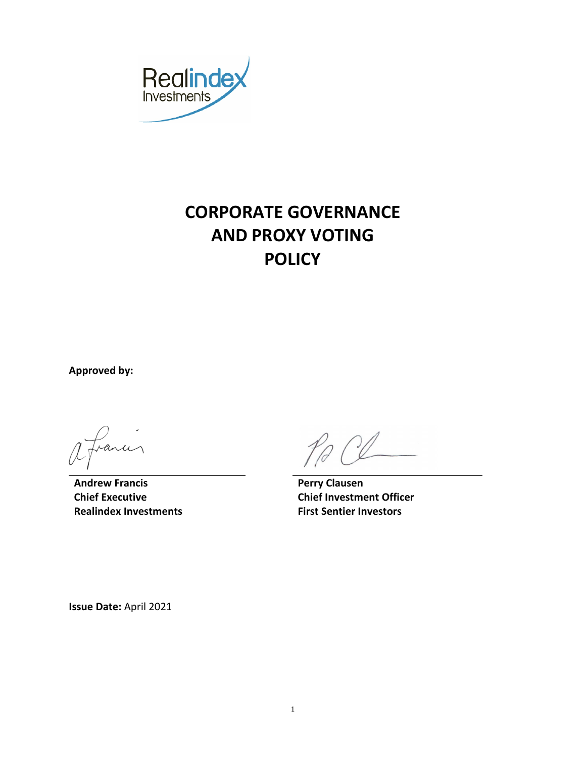

# **CORPORATE GOVERNANCE AND PROXY VOTING POLICY**

**Approved by:**

anu

**Andrew Francis Perry Clausen Chief Executive Realindex Investments**

**Chief Investment Officer First Sentier Investors**

**Issue Date:** April 2021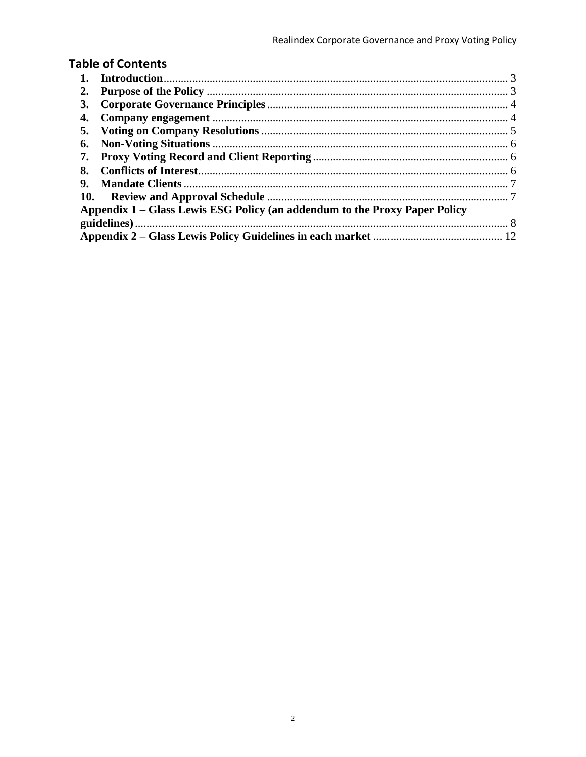|  | <b>Table of Contents</b> |
|--|--------------------------|
|  |                          |

| 2.                                                                         |  |  |  |  |
|----------------------------------------------------------------------------|--|--|--|--|
| 3.                                                                         |  |  |  |  |
|                                                                            |  |  |  |  |
|                                                                            |  |  |  |  |
| 6.                                                                         |  |  |  |  |
| 7.                                                                         |  |  |  |  |
| 8.                                                                         |  |  |  |  |
| 9.                                                                         |  |  |  |  |
|                                                                            |  |  |  |  |
| Appendix 1 – Glass Lewis ESG Policy (an addendum to the Proxy Paper Policy |  |  |  |  |
|                                                                            |  |  |  |  |
|                                                                            |  |  |  |  |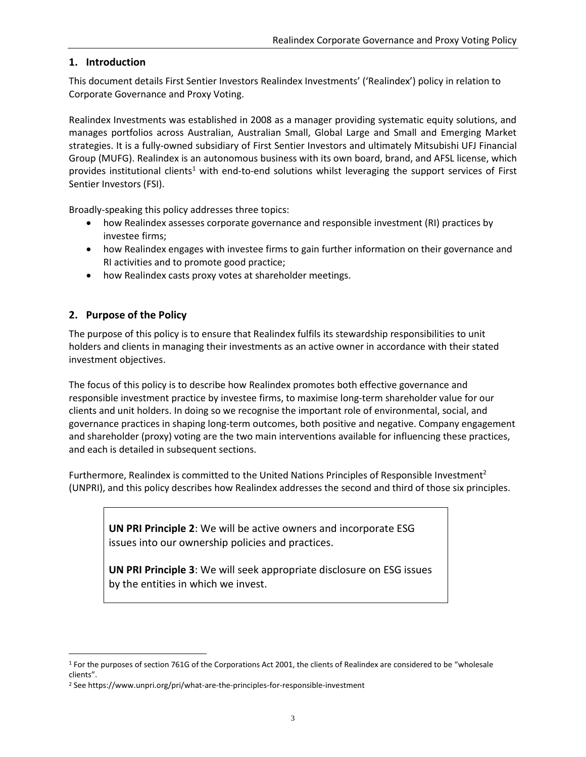#### <span id="page-2-0"></span>**1. Introduction**

This document details First Sentier Investors Realindex Investments' ('Realindex') policy in relation to Corporate Governance and Proxy Voting.

Realindex Investments was established in 2008 as a manager providing systematic equity solutions, and manages portfolios across Australian, Australian Small, Global Large and Small and Emerging Market strategies. It is a fully-owned subsidiary of First Sentier Investors and ultimately Mitsubishi UFJ Financial Group (MUFG). Realindex is an autonomous business with its own board, brand, and AFSL license, which provides institutional clients<sup>1</sup> with end-to-end solutions whilst leveraging the support services of First Sentier Investors (FSI).

Broadly-speaking this policy addresses three topics:

- how Realindex assesses corporate governance and responsible investment (RI) practices by investee firms;
- how Realindex engages with investee firms to gain further information on their governance and RI activities and to promote good practice;
- how Realindex casts proxy votes at shareholder meetings.

#### <span id="page-2-1"></span>**2. Purpose of the Policy**

 $\overline{a}$ 

The purpose of this policy is to ensure that Realindex fulfils its stewardship responsibilities to unit holders and clients in managing their investments as an active owner in accordance with their stated investment objectives.

The focus of this policy is to describe how Realindex promotes both effective governance and responsible investment practice by investee firms, to maximise long-term shareholder value for our clients and unit holders. In doing so we recognise the important role of environmental, social, and governance practices in shaping long-term outcomes, both positive and negative. Company engagement and shareholder (proxy) voting are the two main interventions available for influencing these practices, and each is detailed in subsequent sections.

Furthermore, Realindex is committed to the United Nations Principles of Responsible Investment<sup>2</sup> (UNPRI), and this policy describes how Realindex addresses the second and third of those six principles.

**UN PRI Principle 2**: We will be active owners and incorporate ESG issues into our ownership policies and practices.

**UN PRI Principle 3**: We will seek appropriate disclosure on ESG issues by the entities in which we invest.

<sup>&</sup>lt;sup>1</sup> For the purposes of section 761G of the Corporations Act 2001, the clients of Realindex are considered to be "wholesale clients".

<sup>2</sup> See https://www.unpri.org/pri/what-are-the-principles-for-responsible-investment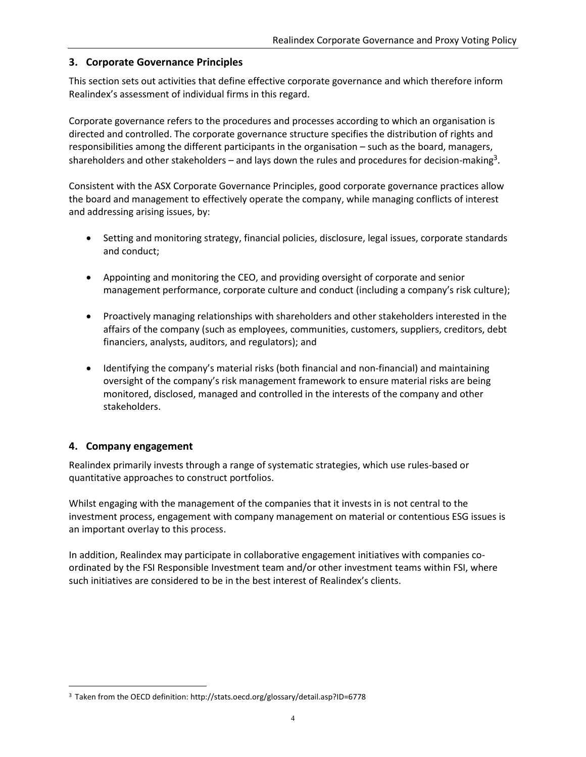#### <span id="page-3-0"></span>**3. Corporate Governance Principles**

This section sets out activities that define effective corporate governance and which therefore inform Realindex's assessment of individual firms in this regard.

Corporate governance refers to the procedures and processes according to which an organisation is directed and controlled. The corporate governance structure specifies the distribution of rights and responsibilities among the different participants in the organisation – such as the board, managers, shareholders and other stakeholders – and lays down the rules and procedures for decision-making<sup>3</sup>.

Consistent with the ASX Corporate Governance Principles, good corporate governance practices allow the board and management to effectively operate the company, while managing conflicts of interest and addressing arising issues, by:

- Setting and monitoring strategy, financial policies, disclosure, legal issues, corporate standards and conduct;
- Appointing and monitoring the CEO, and providing oversight of corporate and senior management performance, corporate culture and conduct (including a company's risk culture);
- Proactively managing relationships with shareholders and other stakeholders interested in the affairs of the company (such as employees, communities, customers, suppliers, creditors, debt financiers, analysts, auditors, and regulators); and
- Identifying the company's material risks (both financial and non-financial) and maintaining oversight of the company's risk management framework to ensure material risks are being monitored, disclosed, managed and controlled in the interests of the company and other stakeholders.

#### <span id="page-3-1"></span>**4. Company engagement**

 $\overline{a}$ 

Realindex primarily invests through a range of systematic strategies, which use rules-based or quantitative approaches to construct portfolios.

Whilst engaging with the management of the companies that it invests in is not central to the investment process, engagement with company management on material or contentious ESG issues is an important overlay to this process.

In addition, Realindex may participate in collaborative engagement initiatives with companies coordinated by the FSI Responsible Investment team and/or other investment teams within FSI, where such initiatives are considered to be in the best interest of Realindex's clients.

<sup>3</sup> Taken from the OECD definition: <http://stats.oecd.org/glossary/detail.asp?ID=6778>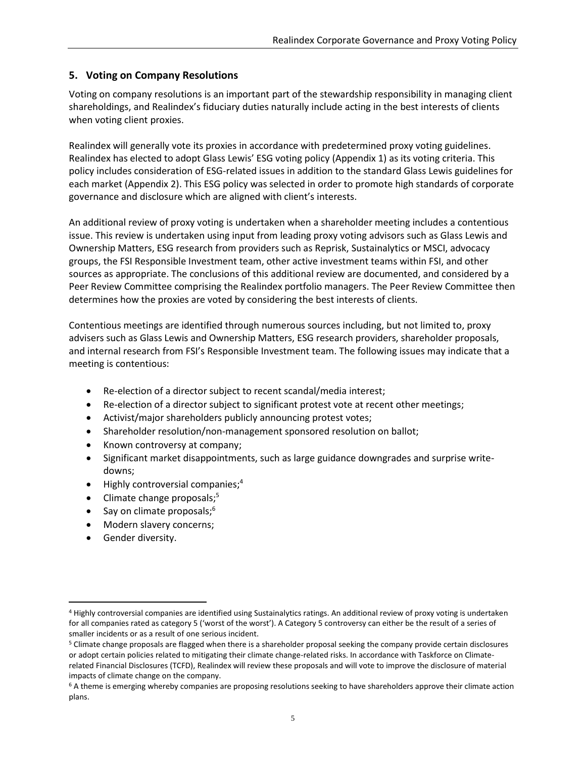#### <span id="page-4-0"></span>**5. Voting on Company Resolutions**

Voting on company resolutions is an important part of the stewardship responsibility in managing client shareholdings, and Realindex's fiduciary duties naturally include acting in the best interests of clients when voting client proxies.

Realindex will generally vote its proxies in accordance with predetermined proxy voting guidelines. Realindex has elected to adopt Glass Lewis' ESG voting policy (Appendix 1) as its voting criteria. This policy includes consideration of ESG-related issues in addition to the standard Glass Lewis guidelines for each market (Appendix 2). This ESG policy was selected in order to promote high standards of corporate governance and disclosure which are aligned with client's interests.

An additional review of proxy voting is undertaken when a shareholder meeting includes a contentious issue. This review is undertaken using input from leading proxy voting advisors such as Glass Lewis and Ownership Matters, ESG research from providers such as Reprisk, Sustainalytics or MSCI, advocacy groups, the FSI Responsible Investment team, other active investment teams within FSI, and other sources as appropriate. The conclusions of this additional review are documented, and considered by a Peer Review Committee comprising the Realindex portfolio managers. The Peer Review Committee then determines how the proxies are voted by considering the best interests of clients.

Contentious meetings are identified through numerous sources including, but not limited to, proxy advisers such as Glass Lewis and Ownership Matters, ESG research providers, shareholder proposals, and internal research from FSI's Responsible Investment team. The following issues may indicate that a meeting is contentious:

- Re-election of a director subject to recent scandal/media interest;
- Re-election of a director subject to significant protest vote at recent other meetings;
- Activist/major shareholders publicly announcing protest votes;
- Shareholder resolution/non-management sponsored resolution on ballot;
- Known controversy at company;
- Significant market disappointments, such as large guidance downgrades and surprise writedowns;
- Highly controversial companies;<sup>4</sup>
- Climate change proposals;<sup>5</sup>
- $\bullet$  Say on climate proposals;<sup>6</sup>
- Modern slavery concerns;
- Gender diversity.

 $\overline{a}$ 

<sup>4</sup> Highly controversial companies are identified using Sustainalytics ratings. An additional review of proxy voting is undertaken for all companies rated as category 5 ('worst of the worst'). A Category 5 controversy can either be the result of a series of smaller incidents or as a result of one serious incident.

<sup>5</sup> Climate change proposals are flagged when there is a shareholder proposal seeking the company provide certain disclosures or adopt certain policies related to mitigating their climate change-related risks. In accordance with Taskforce on Climaterelated Financial Disclosures (TCFD), Realindex will review these proposals and will vote to improve the disclosure of material impacts of climate change on the company.

 $6$  A theme is emerging whereby companies are proposing resolutions seeking to have shareholders approve their climate action plans.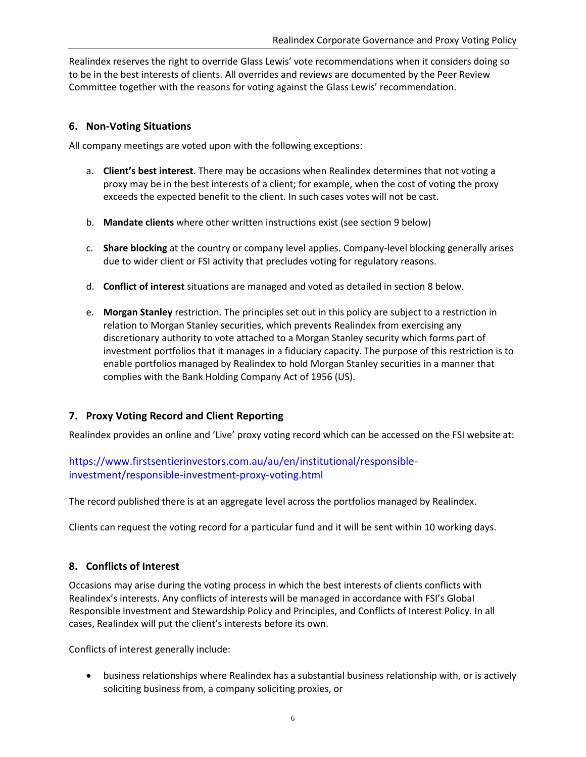Realindex reserves the right to override Glass Lewis' vote recommendations when it considers doing so to be in the best interests of clients. All overrides and reviews are documented by the Peer Review Committee together with the reasons for voting against the Glass Lewis' recommendation.

#### <span id="page-5-0"></span>**6. Non-Voting Situations**

All company meetings are voted upon with the following exceptions:

- a. **Client's best interest**. There may be occasions when Realindex determines that not voting a proxy may be in the best interests of a client; for example, when the cost of voting the proxy exceeds the expected benefit to the client. In such cases votes will not be cast.
- b. **Mandate clients** where other written instructions exist (see section 9 below)
- c. **Share blocking** at the country or company level applies. Company-level blocking generally arises due to wider client or FSI activity that precludes voting for regulatory reasons.
- d. **Conflict of interest** situations are managed and voted as detailed in section 8 below.
- e. **Morgan Stanley** restriction. The principles set out in this policy are subject to a restriction in relation to Morgan Stanley securities, which prevents Realindex from exercising any discretionary authority to vote attached to a Morgan Stanley security which forms part of investment portfolios that it manages in a fiduciary capacity. The purpose of this restriction is to enable portfolios managed by Realindex to hold Morgan Stanley securities in a manner that complies with the Bank Holding Company Act of 1956 (US).

# <span id="page-5-1"></span>**7. Proxy Voting Record and Client Reporting**

Realindex provides an online and 'Live' proxy voting record which can be accessed on the FSI website at:

# [https://www.firstsentierinvestors.com.au/au/en/institutional/responsible](https://www.firstsentierinvestors.com.au/au/en/institutional/responsible-investment/responsible-investment-proxy-voting.html)[investment/responsible-investment-proxy-voting.html](https://www.firstsentierinvestors.com.au/au/en/institutional/responsible-investment/responsible-investment-proxy-voting.html)

The record published there is at an aggregate level across the portfolios managed by Realindex.

Clients can request the voting record for a particular fund and it will be sent within 10 working days.

#### <span id="page-5-2"></span>**8. Conflicts of Interest**

Occasions may arise during the voting process in which the best interests of clients conflicts with Realindex's interests. Any conflicts of interests will be managed in accordance with FSI's Global Responsible Investment and Stewardship Policy and Principles, and Conflicts of Interest Policy. In all cases, Realindex will put the client's interests before its own.

Conflicts of interest generally include:

 business relationships where Realindex has a substantial business relationship with, or is actively soliciting business from, a company soliciting proxies, or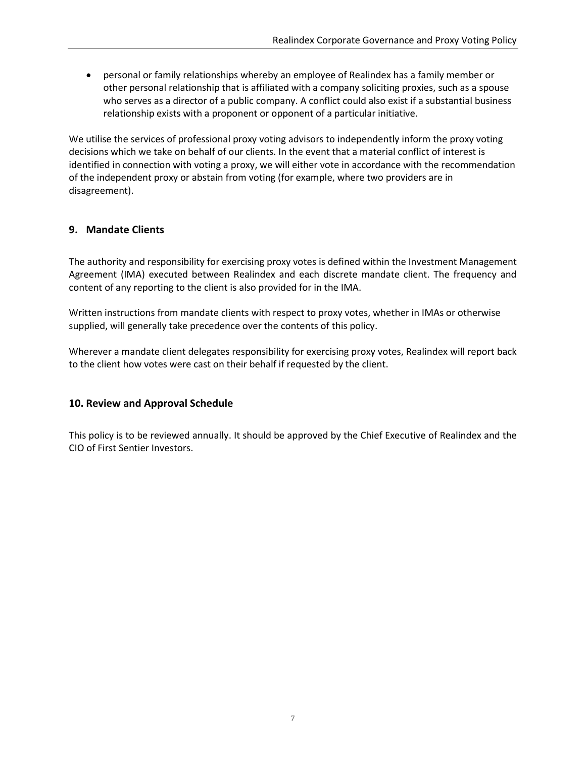personal or family relationships whereby an employee of Realindex has a family member or other personal relationship that is affiliated with a company soliciting proxies, such as a spouse who serves as a director of a public company. A conflict could also exist if a substantial business relationship exists with a proponent or opponent of a particular initiative.

We utilise the services of professional proxy voting advisors to independently inform the proxy voting decisions which we take on behalf of our clients. In the event that a material conflict of interest is identified in connection with voting a proxy, we will either vote in accordance with the recommendation of the independent proxy or abstain from voting (for example, where two providers are in disagreement).

#### <span id="page-6-0"></span>**9. Mandate Clients**

The authority and responsibility for exercising proxy votes is defined within the Investment Management Agreement (IMA) executed between Realindex and each discrete mandate client. The frequency and content of any reporting to the client is also provided for in the IMA.

Written instructions from mandate clients with respect to proxy votes, whether in IMAs or otherwise supplied, will generally take precedence over the contents of this policy.

Wherever a mandate client delegates responsibility for exercising proxy votes, Realindex will report back to the client how votes were cast on their behalf if requested by the client.

#### <span id="page-6-1"></span>**10. Review and Approval Schedule**

This policy is to be reviewed annually. It should be approved by the Chief Executive of Realindex and the CIO of First Sentier Investors.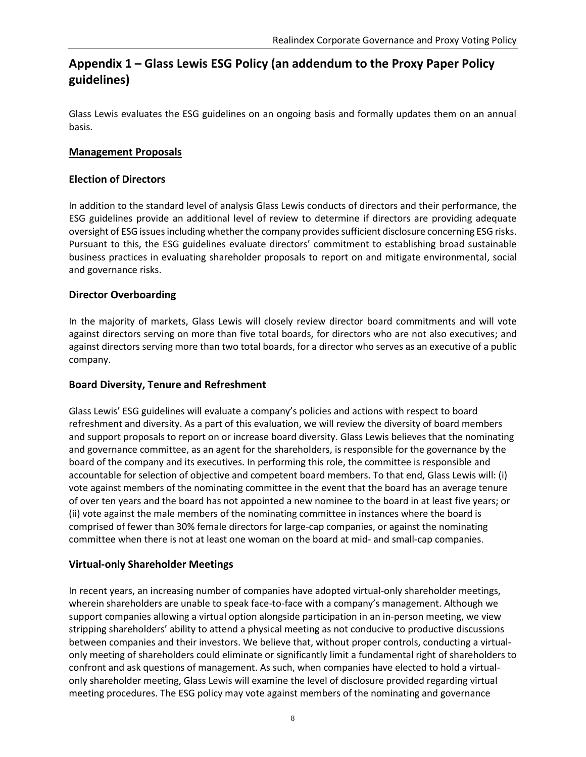# <span id="page-7-0"></span>**Appendix 1 – Glass Lewis ESG Policy (an addendum to the Proxy Paper Policy guidelines)**

Glass Lewis evaluates the ESG guidelines on an ongoing basis and formally updates them on an annual basis.

#### **Management Proposals**

#### **Election of Directors**

In addition to the standard level of analysis Glass Lewis conducts of directors and their performance, the ESG guidelines provide an additional level of review to determine if directors are providing adequate oversight of ESG issues including whether the company provides sufficient disclosure concerning ESG risks. Pursuant to this, the ESG guidelines evaluate directors' commitment to establishing broad sustainable business practices in evaluating shareholder proposals to report on and mitigate environmental, social and governance risks.

#### **Director Overboarding**

In the majority of markets, Glass Lewis will closely review director board commitments and will vote against directors serving on more than five total boards, for directors who are not also executives; and against directors serving more than two total boards, for a director who serves as an executive of a public company.

#### **Board Diversity, Tenure and Refreshment**

Glass Lewis' ESG guidelines will evaluate a company's policies and actions with respect to board refreshment and diversity. As a part of this evaluation, we will review the diversity of board members and support proposals to report on or increase board diversity. Glass Lewis believes that the nominating and governance committee, as an agent for the shareholders, is responsible for the governance by the board of the company and its executives. In performing this role, the committee is responsible and accountable for selection of objective and competent board members. To that end, Glass Lewis will: (i) vote against members of the nominating committee in the event that the board has an average tenure of over ten years and the board has not appointed a new nominee to the board in at least five years; or (ii) vote against the male members of the nominating committee in instances where the board is comprised of fewer than 30% female directors for large-cap companies, or against the nominating committee when there is not at least one woman on the board at mid- and small-cap companies.

#### **Virtual-only Shareholder Meetings**

In recent years, an increasing number of companies have adopted virtual-only shareholder meetings, wherein shareholders are unable to speak face-to-face with a company's management. Although we support companies allowing a virtual option alongside participation in an in-person meeting, we view stripping shareholders' ability to attend a physical meeting as not conducive to productive discussions between companies and their investors. We believe that, without proper controls, conducting a virtualonly meeting of shareholders could eliminate or significantly limit a fundamental right of shareholders to confront and ask questions of management. As such, when companies have elected to hold a virtualonly shareholder meeting, Glass Lewis will examine the level of disclosure provided regarding virtual meeting procedures. The ESG policy may vote against members of the nominating and governance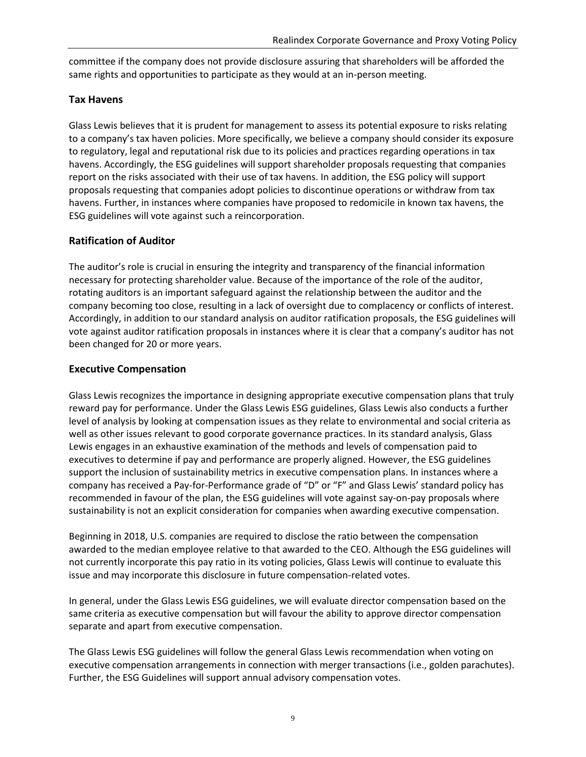committee if the company does not provide disclosure assuring that shareholders will be afforded the same rights and opportunities to participate as they would at an in-person meeting.

#### **Tax Havens**

Glass Lewis believes that it is prudent for management to assess its potential exposure to risks relating to a company's tax haven policies. More specifically, we believe a company should consider its exposure to regulatory, legal and reputational risk due to its policies and practices regarding operations in tax havens. Accordingly, the ESG guidelines will support shareholder proposals requesting that companies report on the risks associated with their use of tax havens. In addition, the ESG policy will support proposals requesting that companies adopt policies to discontinue operations or withdraw from tax havens. Further, in instances where companies have proposed to redomicile in known tax havens, the ESG guidelines will vote against such a reincorporation.

# **Ratification of Auditor**

The auditor's role is crucial in ensuring the integrity and transparency of the financial information necessary for protecting shareholder value. Because of the importance of the role of the auditor, rotating auditors is an important safeguard against the relationship between the auditor and the company becoming too close, resulting in a lack of oversight due to complacency or conflicts of interest. Accordingly, in addition to our standard analysis on auditor ratification proposals, the ESG guidelines will vote against auditor ratification proposals in instances where it is clear that a company's auditor has not been changed for 20 or more years.

#### **Executive Compensation**

Glass Lewis recognizes the importance in designing appropriate executive compensation plans that truly reward pay for performance. Under the Glass Lewis ESG guidelines, Glass Lewis also conducts a further level of analysis by looking at compensation issues as they relate to environmental and social criteria as well as other issues relevant to good corporate governance practices. In its standard analysis, Glass Lewis engages in an exhaustive examination of the methods and levels of compensation paid to executives to determine if pay and performance are properly aligned. However, the ESG guidelines support the inclusion of sustainability metrics in executive compensation plans. In instances where a company has received a Pay-for-Performance grade of "D" or "F" and Glass Lewis' standard policy has recommended in favour of the plan, the ESG guidelines will vote against say-on-pay proposals where sustainability is not an explicit consideration for companies when awarding executive compensation.

Beginning in 2018, U.S. companies are required to disclose the ratio between the compensation awarded to the median employee relative to that awarded to the CEO. Although the ESG guidelines will not currently incorporate this pay ratio in its voting policies, Glass Lewis will continue to evaluate this issue and may incorporate this disclosure in future compensation-related votes.

In general, under the Glass Lewis ESG guidelines, we will evaluate director compensation based on the same criteria as executive compensation but will favour the ability to approve director compensation separate and apart from executive compensation.

The Glass Lewis ESG guidelines will follow the general Glass Lewis recommendation when voting on executive compensation arrangements in connection with merger transactions (i.e., golden parachutes). Further, the ESG Guidelines will support annual advisory compensation votes.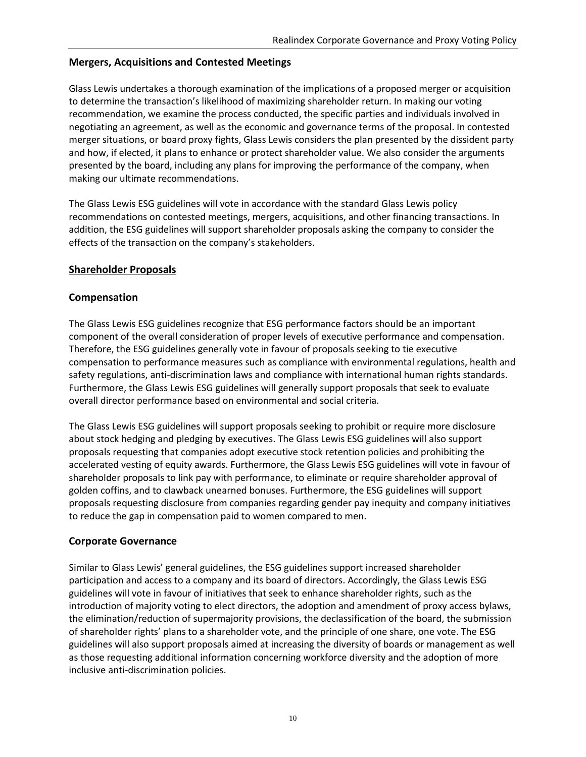#### **Mergers, Acquisitions and Contested Meetings**

Glass Lewis undertakes a thorough examination of the implications of a proposed merger or acquisition to determine the transaction's likelihood of maximizing shareholder return. In making our voting recommendation, we examine the process conducted, the specific parties and individuals involved in negotiating an agreement, as well as the economic and governance terms of the proposal. In contested merger situations, or board proxy fights, Glass Lewis considers the plan presented by the dissident party and how, if elected, it plans to enhance or protect shareholder value. We also consider the arguments presented by the board, including any plans for improving the performance of the company, when making our ultimate recommendations.

The Glass Lewis ESG guidelines will vote in accordance with the standard Glass Lewis policy recommendations on contested meetings, mergers, acquisitions, and other financing transactions. In addition, the ESG guidelines will support shareholder proposals asking the company to consider the effects of the transaction on the company's stakeholders.

#### **Shareholder Proposals**

#### **Compensation**

The Glass Lewis ESG guidelines recognize that ESG performance factors should be an important component of the overall consideration of proper levels of executive performance and compensation. Therefore, the ESG guidelines generally vote in favour of proposals seeking to tie executive compensation to performance measures such as compliance with environmental regulations, health and safety regulations, anti-discrimination laws and compliance with international human rights standards. Furthermore, the Glass Lewis ESG guidelines will generally support proposals that seek to evaluate overall director performance based on environmental and social criteria.

The Glass Lewis ESG guidelines will support proposals seeking to prohibit or require more disclosure about stock hedging and pledging by executives. The Glass Lewis ESG guidelines will also support proposals requesting that companies adopt executive stock retention policies and prohibiting the accelerated vesting of equity awards. Furthermore, the Glass Lewis ESG guidelines will vote in favour of shareholder proposals to link pay with performance, to eliminate or require shareholder approval of golden coffins, and to clawback unearned bonuses. Furthermore, the ESG guidelines will support proposals requesting disclosure from companies regarding gender pay inequity and company initiatives to reduce the gap in compensation paid to women compared to men.

#### **Corporate Governance**

Similar to Glass Lewis' general guidelines, the ESG guidelines support increased shareholder participation and access to a company and its board of directors. Accordingly, the Glass Lewis ESG guidelines will vote in favour of initiatives that seek to enhance shareholder rights, such as the introduction of majority voting to elect directors, the adoption and amendment of proxy access bylaws, the elimination/reduction of supermajority provisions, the declassification of the board, the submission of shareholder rights' plans to a shareholder vote, and the principle of one share, one vote. The ESG guidelines will also support proposals aimed at increasing the diversity of boards or management as well as those requesting additional information concerning workforce diversity and the adoption of more inclusive anti-discrimination policies.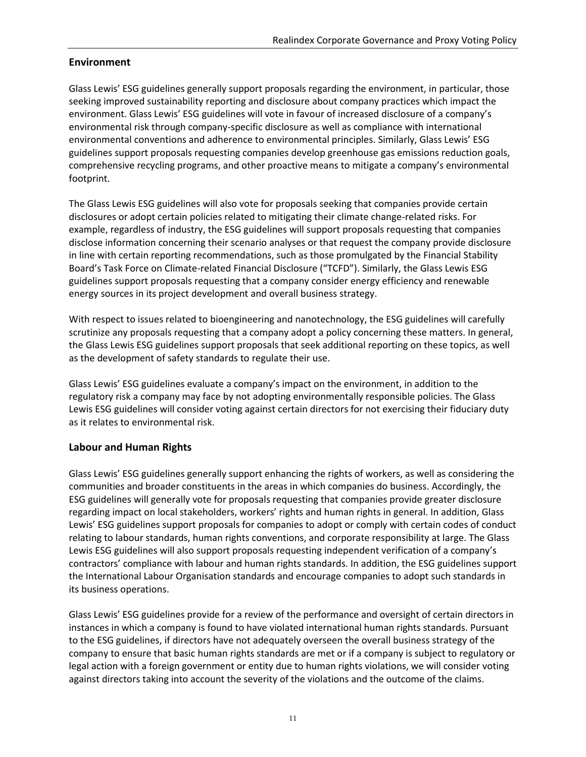#### **Environment**

Glass Lewis' ESG guidelines generally support proposals regarding the environment, in particular, those seeking improved sustainability reporting and disclosure about company practices which impact the environment. Glass Lewis' ESG guidelines will vote in favour of increased disclosure of a company's environmental risk through company-specific disclosure as well as compliance with international environmental conventions and adherence to environmental principles. Similarly, Glass Lewis' ESG guidelines support proposals requesting companies develop greenhouse gas emissions reduction goals, comprehensive recycling programs, and other proactive means to mitigate a company's environmental footprint.

The Glass Lewis ESG guidelines will also vote for proposals seeking that companies provide certain disclosures or adopt certain policies related to mitigating their climate change-related risks. For example, regardless of industry, the ESG guidelines will support proposals requesting that companies disclose information concerning their scenario analyses or that request the company provide disclosure in line with certain reporting recommendations, such as those promulgated by the Financial Stability Board's Task Force on Climate-related Financial Disclosure ("TCFD"). Similarly, the Glass Lewis ESG guidelines support proposals requesting that a company consider energy efficiency and renewable energy sources in its project development and overall business strategy.

With respect to issues related to bioengineering and nanotechnology, the ESG guidelines will carefully scrutinize any proposals requesting that a company adopt a policy concerning these matters. In general, the Glass Lewis ESG guidelines support proposals that seek additional reporting on these topics, as well as the development of safety standards to regulate their use.

Glass Lewis' ESG guidelines evaluate a company's impact on the environment, in addition to the regulatory risk a company may face by not adopting environmentally responsible policies. The Glass Lewis ESG guidelines will consider voting against certain directors for not exercising their fiduciary duty as it relates to environmental risk.

#### **Labour and Human Rights**

Glass Lewis' ESG guidelines generally support enhancing the rights of workers, as well as considering the communities and broader constituents in the areas in which companies do business. Accordingly, the ESG guidelines will generally vote for proposals requesting that companies provide greater disclosure regarding impact on local stakeholders, workers' rights and human rights in general. In addition, Glass Lewis' ESG guidelines support proposals for companies to adopt or comply with certain codes of conduct relating to labour standards, human rights conventions, and corporate responsibility at large. The Glass Lewis ESG guidelines will also support proposals requesting independent verification of a company's contractors' compliance with labour and human rights standards. In addition, the ESG guidelines support the International Labour Organisation standards and encourage companies to adopt such standards in its business operations.

Glass Lewis' ESG guidelines provide for a review of the performance and oversight of certain directors in instances in which a company is found to have violated international human rights standards. Pursuant to the ESG guidelines, if directors have not adequately overseen the overall business strategy of the company to ensure that basic human rights standards are met or if a company is subject to regulatory or legal action with a foreign government or entity due to human rights violations, we will consider voting against directors taking into account the severity of the violations and the outcome of the claims.